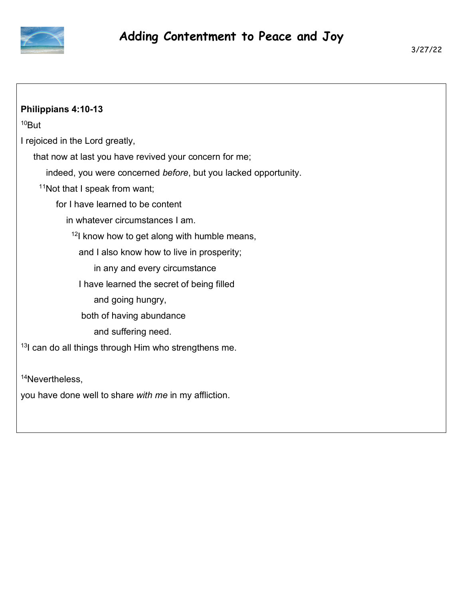

| Philippians 4:10-13                                             |
|-----------------------------------------------------------------|
| <sup>10</sup> But                                               |
| I rejoiced in the Lord greatly,                                 |
|                                                                 |
| that now at last you have revived your concern for me;          |
| indeed, you were concerned before, but you lacked opportunity.  |
| <sup>11</sup> Not that I speak from want;                       |
| for I have learned to be content                                |
| in whatever circumstances I am.                                 |
| $12$ I know how to get along with humble means,                 |
| and I also know how to live in prosperity;                      |
| in any and every circumstance                                   |
| I have learned the secret of being filled                       |
| and going hungry,                                               |
| both of having abundance                                        |
| and suffering need.                                             |
| <sup>13</sup> can do all things through Him who strengthens me. |
| <sup>14</sup> Nevertheless,                                     |

you have done well to share *with me* in my affliction.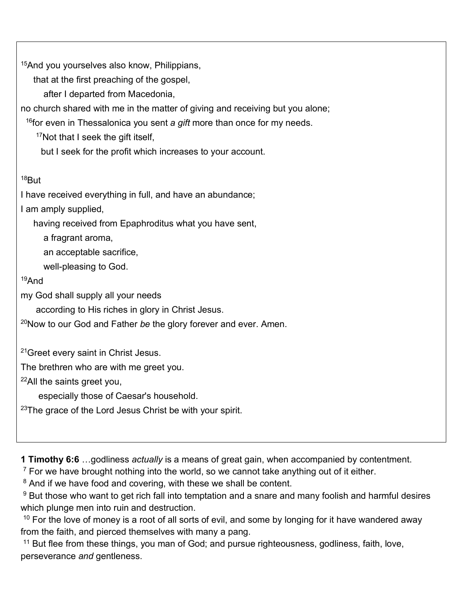<sup>15</sup>And you yourselves also know, Philippians,

that at the first preaching of the gospel,

after I departed from Macedonia,

no church shared with me in the matter of giving and receiving but you alone;

<sup>16</sup>for even in Thessalonica you sent *a gift* more than once for my needs.

<sup>17</sup>Not that I seek the gift itself,

but I seek for the profit which increases to your account.

## $18$ But

I have received everything in full, and have an abundance;

I am amply supplied,

having received from Epaphroditus what you have sent,

a fragrant aroma,

an acceptable sacrifice,

well-pleasing to God.

## <sup>19</sup>And

my God shall supply all your needs

according to His riches in glory in Christ Jesus.

<sup>20</sup>Now to our God and Father *be* the glory forever and ever. Amen.

<sup>21</sup>Greet every saint in Christ Jesus.

The brethren who are with me greet you.

<sup>22</sup>All the saints greet you,

especially those of Caesar's household.

 $23$ The grace of the Lord Jesus Christ be with your spirit.

**1 Timothy 6:6** …godliness *actually* is a means of great gain, when accompanied by contentment.

 $7$  For we have brought nothing into the world, so we cannot take anything out of it either.

<sup>8</sup> And if we have food and covering, with these we shall be content.

 $9$  But those who want to get rich fall into temptation and a snare and many foolish and harmful desires which plunge men into ruin and destruction.

 $10$  For the love of money is a root of all sorts of evil, and some by longing for it have wandered away from the faith, and pierced themselves with many a pang.

<sup>11</sup> But flee from these things, you man of God; and pursue righteousness, godliness, faith, love, perseverance *and* gentleness.